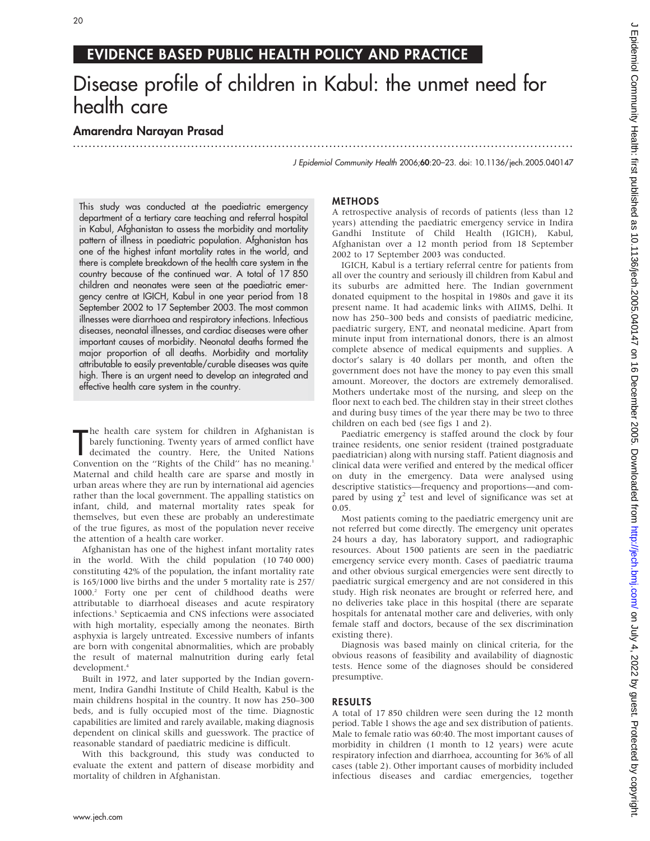## EVIDENCE BASED PUBLIC HEALTH POLICY AND PRACTICE

# Disease profile of children in Kabul: the unmet need for health care

...............................................................................................................................

### Amarendra Narayan Prasad

J Epidemiol Community Health 2006;60:20–23. doi: 10.1136/jech.2005.040147

This study was conducted at the paediatric emergency department of a tertiary care teaching and referral hospital in Kabul, Afghanistan to assess the morbidity and mortality pattern of illness in paediatric population. Afghanistan has one of the highest infant mortality rates in the world, and there is complete breakdown of the health care system in the country because of the continued war. A total of 17 850 children and neonates were seen at the paediatric emergency centre at IGICH, Kabul in one year period from 18 September 2002 to 17 September 2003. The most common illnesses were diarrhoea and respiratory infections. Infectious diseases, neonatal illnesses, and cardiac diseases were other important causes of morbidity. Neonatal deaths formed the major proportion of all deaths. Morbidity and mortality attributable to easily preventable/curable diseases was quite high. There is an urgent need to develop an integrated and effective health care system in the country.

The health care system for children in Afghanistan is<br>barely functioning. Twenty years of armed conflict have<br>decimated the country. Here, the United Nations<br>Convention on the "Rights of the Child" has no meaning.<sup>1</sup> he health care system for children in Afghanistan is barely functioning. Twenty years of armed conflict have decimated the country. Here, the United Nations Maternal and child health care are sparse and mostly in urban areas where they are run by international aid agencies rather than the local government. The appalling statistics on infant, child, and maternal mortality rates speak for themselves, but even these are probably an underestimate of the true figures, as most of the population never receive the attention of a health care worker.

Afghanistan has one of the highest infant mortality rates in the world. With the child population (10 740 000) constituting 42% of the population, the infant mortality rate is 165/1000 live births and the under 5 mortality rate is 257/ 1000.2 Forty one per cent of childhood deaths were attributable to diarrhoeal diseases and acute respiratory infections.3 Septicaemia and CNS infections were associated with high mortality, especially among the neonates. Birth asphyxia is largely untreated. Excessive numbers of infants are born with congenital abnormalities, which are probably the result of maternal malnutrition during early fetal development.<sup>4</sup>

Built in 1972, and later supported by the Indian government, Indira Gandhi Institute of Child Health, Kabul is the main childrens hospital in the country. It now has 250–300 beds, and is fully occupied most of the time. Diagnostic capabilities are limited and rarely available, making diagnosis dependent on clinical skills and guesswork. The practice of reasonable standard of paediatric medicine is difficult.

With this background, this study was conducted to evaluate the extent and pattern of disease morbidity and mortality of children in Afghanistan.

#### METHODS

A retrospective analysis of records of patients (less than 12 years) attending the paediatric emergency service in Indira Gandhi Institute of Child Health (IGICH), Kabul, Afghanistan over a 12 month period from 18 September 2002 to 17 September 2003 was conducted.

IGICH, Kabul is a tertiary referral centre for patients from all over the country and seriously ill children from Kabul and its suburbs are admitted here. The Indian government donated equipment to the hospital in 1980s and gave it its present name. It had academic links with AIIMS, Delhi. It now has 250–300 beds and consists of paediatric medicine, paediatric surgery, ENT, and neonatal medicine. Apart from minute input from international donors, there is an almost complete absence of medical equipments and supplies. A doctor's salary is 40 dollars per month, and often the government does not have the money to pay even this small amount. Moreover, the doctors are extremely demoralised. Mothers undertake most of the nursing, and sleep on the floor next to each bed. The children stay in their street clothes and during busy times of the year there may be two to three children on each bed (see figs 1 and 2).

Paediatric emergency is staffed around the clock by four trainee residents, one senior resident (trained postgraduate paediatrician) along with nursing staff. Patient diagnosis and clinical data were verified and entered by the medical officer on duty in the emergency. Data were analysed using descriptive statistics—frequency and proportions—and compared by using  $\chi^2$  test and level of significance was set at 0.05.

Most patients coming to the paediatric emergency unit are not referred but come directly. The emergency unit operates 24 hours a day, has laboratory support, and radiographic resources. About 1500 patients are seen in the paediatric emergency service every month. Cases of paediatric trauma and other obvious surgical emergencies were sent directly to paediatric surgical emergency and are not considered in this study. High risk neonates are brought or referred here, and no deliveries take place in this hospital (there are separate hospitals for antenatal mother care and deliveries, with only female staff and doctors, because of the sex discrimination existing there).

Diagnosis was based mainly on clinical criteria, for the obvious reasons of feasibility and availability of diagnostic tests. Hence some of the diagnoses should be considered presumptive.

#### RESULTS

A total of 17 850 children were seen during the 12 month period. Table 1 shows the age and sex distribution of patients. Male to female ratio was 60:40. The most important causes of morbidity in children (1 month to 12 years) were acute respiratory infection and diarrhoea, accounting for 36% of all cases (table 2). Other important causes of morbidity included infectious diseases and cardiac emergencies, together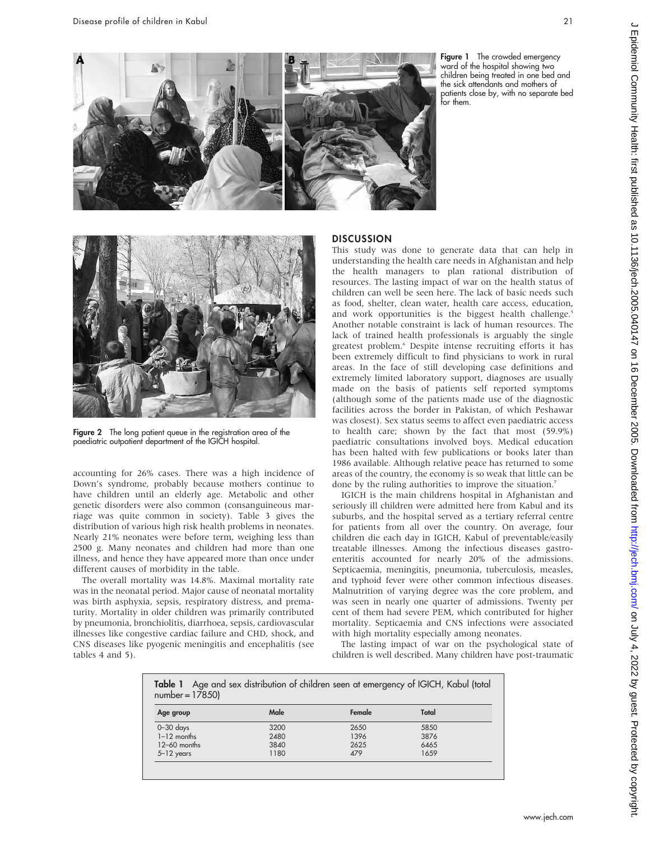

Figure 1 The crowded emergency ward of the hospital showing two children being treated in one bed and the sick attendants and mothers of patients close by, with no separate bed for them.



**Figure 2** The long patient queue in the registration area of the paediatric outpatient department of the IGICH hospital.

accounting for 26% cases. There was a high incidence of Down's syndrome, probably because mothers continue to have children until an elderly age. Metabolic and other genetic disorders were also common (consanguineous marriage was quite common in society). Table 3 gives the distribution of various high risk health problems in neonates. Nearly 21% neonates were before term, weighing less than 2500 g. Many neonates and children had more than one illness, and hence they have appeared more than once under different causes of morbidity in the table.

The overall mortality was 14.8%. Maximal mortality rate was in the neonatal period. Major cause of neonatal mortality was birth asphyxia, sepsis, respiratory distress, and prematurity. Mortality in older children was primarily contributed by pneumonia, bronchiolitis, diarrhoea, sepsis, cardiovascular illnesses like congestive cardiac failure and CHD, shock, and CNS diseases like pyogenic meningitis and encephalitis (see tables 4 and 5).

#### **DISCUSSION**

This study was done to generate data that can help in understanding the health care needs in Afghanistan and help the health managers to plan rational distribution of resources. The lasting impact of war on the health status of children can well be seen here. The lack of basic needs such as food, shelter, clean water, health care access, education, and work opportunities is the biggest health challenge.<sup>5</sup> Another notable constraint is lack of human resources. The lack of trained health professionals is arguably the single greatest problem.<sup>6</sup> Despite intense recruiting efforts it has been extremely difficult to find physicians to work in rural areas. In the face of still developing case definitions and extremely limited laboratory support, diagnoses are usually made on the basis of patients self reported symptoms (although some of the patients made use of the diagnostic facilities across the border in Pakistan, of which Peshawar was closest). Sex status seems to affect even paediatric access to health care; shown by the fact that most (59.9%) paediatric consultations involved boys. Medical education has been halted with few publications or books later than 1986 available. Although relative peace has returned to some areas of the country, the economy is so weak that little can be done by the ruling authorities to improve the situation.<sup>7</sup>

IGICH is the main childrens hospital in Afghanistan and seriously ill children were admitted here from Kabul and its suburbs, and the hospital served as a tertiary referral centre for patients from all over the country. On average, four children die each day in IGICH, Kabul of preventable/easily treatable illnesses. Among the infectious diseases gastroenteritis accounted for nearly 20% of the admissions. Septicaemia, meningitis, pneumonia, tuberculosis, measles, and typhoid fever were other common infectious diseases. Malnutrition of varying degree was the core problem, and was seen in nearly one quarter of admissions. Twenty per cent of them had severe PEM, which contributed for higher mortality. Septicaemia and CNS infections were associated with high mortality especially among neonates.

The lasting impact of war on the psychological state of children is well described. Many children have post-traumatic

|                  |  |  | <b>Table 1</b> Age and sex distribution of children seen at emergency of IGICH, Kabul (total |  |  |
|------------------|--|--|----------------------------------------------------------------------------------------------|--|--|
| $number = 17850$ |  |  |                                                                                              |  |  |

| Age group      | Male | Female | Total |
|----------------|------|--------|-------|
| $0 - 30$ days  | 3200 | 2650   | 5850  |
| $1-12$ months  | 2480 | 1396   | 3876  |
| $12-60$ months | 3840 | 2625   | 6465  |
| $5 - 12$ years | 1180 | 479    | 1659  |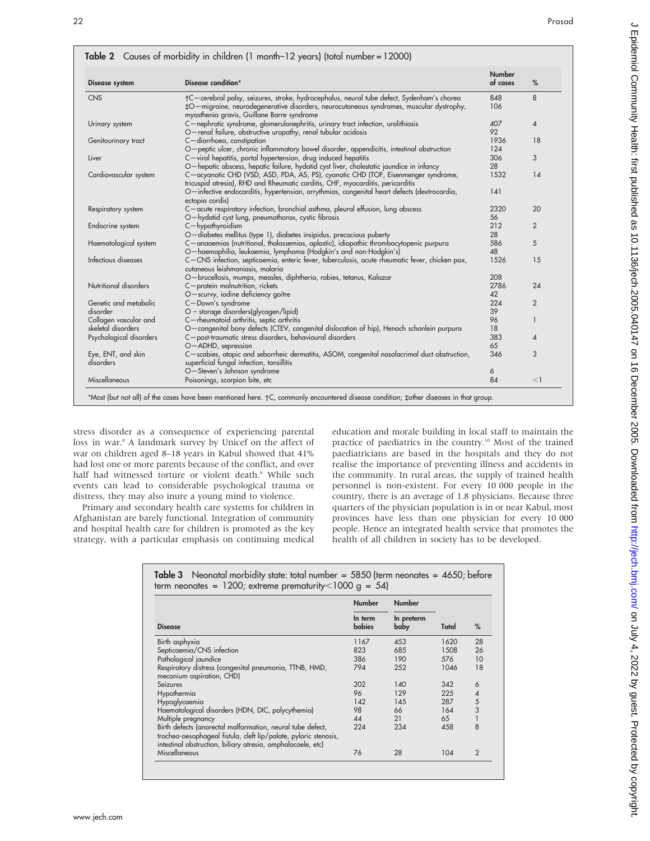| <b>Disease system</b>                       | Disease condition*                                                                                                                                                                                                                 | Number<br>of cases | %              |
|---------------------------------------------|------------------------------------------------------------------------------------------------------------------------------------------------------------------------------------------------------------------------------------|--------------------|----------------|
| <b>CNS</b>                                  | †C-cerebral palsy, seizures, stroke, hydrocephalus, neural tube defect, Sydenham's chorea<br>‡O-migraine, neurodegenerative disorders, neurocutaneous syndromes, muscular dystrophy,<br>myasthenia gravis, Guillane Barre syndrome | 848<br>106         | 8              |
| Urinary system                              | C-nephrotic syndrome, glomerulonephritis, urinary tract infection, urolithiasis<br>O-renal failure, obstructive uropathy, renal tubular acidosis                                                                                   | 407<br>92          | 4              |
| Genitourinary tract                         | C-diarrhoea, constipation<br>O-peptic ulcer, chronic inflammatory bowel disorder, appendicitis, intestinal obstruction                                                                                                             | 1936<br>124        | 18             |
| Liver                                       | C-viral hepatitis, portal hypertension, drug induced hepatitis<br>O-hepatic abscess, hepatic failure, hydatid cyst liver, cholestatic jaundice in infancy                                                                          | 306<br>28          | 3              |
| Cardiovascular system                       | C-acyanotic CHD (VSD, ASD, PDA, AS, PS), cyanotic CHD (TOF, Eisenmenger syndrome,<br>tricuspid atresia), RHD and Rheumatic carditis, CHF, myocarditis, pericarditis                                                                | 1532               | 14             |
|                                             | O-infective endocarditis, hypertension, arrythmias, congenital heart defects (dextrocardia,<br>ectopia cordis)                                                                                                                     | 141                |                |
| Respiratory system                          | C-acute respiratory infection, bronchial asthma, pleural effusion, lung abscess<br>O-hydatid cyst lung, pneumothorax, cystic fibrosis                                                                                              | 2320<br>56         | 20             |
| Endocrine system                            | $C$ -hypothyroidism<br>O-diabetes mellitus (type 1), diabetes insipidus, precocious puberty                                                                                                                                        | 212<br>28          | 2              |
| Haematological system                       | C-anaaemias (nutritional, thalassemias, aplastic), idiopathic thrombocytopenic purpura<br>O-haemophilia, leukaemia, lymphoma (Hodgkin's and non-Hodgkin's)                                                                         | 586<br>48          | 5              |
| Infectious diseases                         | C-CNS infection, septicaemia, enteric fever, tuberculosis, acute rheumatic fever, chicken pox,<br>cutaneous leishmaniasis, malaria                                                                                                 | 1526               | 15             |
| Nutritional disorders                       | O-brucellosis, mumps, measles, diphtheria, rabies, tetanus, Kalazar<br>C-protein malnutrition, rickets                                                                                                                             | 208<br>2786        | 24             |
|                                             | O-scurvy, iodine deficiency goitre                                                                                                                                                                                                 | 42                 |                |
| Genetic and metabolic<br>disorder           | C-Down's syndrome<br>O - storage disorders(glycogen/lipid)                                                                                                                                                                         | 224<br>39          | $\overline{2}$ |
| Collagen vascular and<br>skeletal disorders | C-rheumatoid arthritis, septic arthritis<br>O-congenital bony defects (CTEV, congenital dislocation of hip), Henoch schonlein purpura                                                                                              | 96<br>18           | 1              |
| Psychological disorders                     | C-post-traumatic stress disorders, behavioural disorders<br>O-ADHD, sepression                                                                                                                                                     | 383<br>65          | 4              |
| Eye, ENT, and skin<br>disorders             | C-scabies, atopic and seborrheic dermatitis, ASOM, congenital nasolacrimal duct obstruction,<br>superficial fungal infection, tonsillitis                                                                                          | 346                | 3              |
|                                             | O-Steven's Johnson syndrome                                                                                                                                                                                                        | 6                  |                |
| Miscellaneous                               | Poisonings, scorpion bite, etc                                                                                                                                                                                                     | 84                 | $<$ 1          |

stress disorder as a consequence of experiencing parental loss in war.<sup>8</sup> A landmark survey by Unicef on the affect of war on children aged 8–18 years in Kabul showed that 41% had lost one or more parents because of the conflict, and over half had witnessed torture or violent death.<sup>9</sup> While such events can lead to considerable psychological trauma or distress, they may also inure a young mind to violence.

Primary and secondary health care systems for children in Afghanistan are barely functional. Integration of community and hospital health care for children is promoted as the key strategy, with a particular emphasis on continuing medical education and morale building in local staff to maintain the practice of paediatrics in the country.<sup>10</sup> Most of the trained paediatricians are based in the hospitals and they do not realise the importance of preventing illness and accidents in the community. In rural areas, the supply of trained health personnel is non-existent. For every 10 000 people in the country, there is an average of 1.8 physicians. Because three quarters of the physician population is in or near Kabul, most provinces have less than one physician for every 10 000 people. Hence an integrated health service that promotes the health of all children in society has to be developed.

| Table 3 Neonatal morbidity state: total number = $5850$ (term neonates = $4650$ ; before |
|------------------------------------------------------------------------------------------|
| term neonates = $1200$ ; extreme prematurity < $1000 g = 54$                             |

|                                                                                                                                                                                               | <b>Number</b>     | <b>Number</b>      |       |               |
|-----------------------------------------------------------------------------------------------------------------------------------------------------------------------------------------------|-------------------|--------------------|-------|---------------|
| <b>Disease</b>                                                                                                                                                                                | In term<br>babies | In preterm<br>baby | Total | $\%$          |
| Birth asphyxia                                                                                                                                                                                | 1167              | 453                | 1620  | 28            |
| Septicaemia/CNS infection                                                                                                                                                                     | 823               | 685                | 1508  | 26            |
| Pathological jaundice                                                                                                                                                                         | 386               | 190                | 576   | 10            |
| Respiratory distress (congenital pneumonia, TTNB, HMD,<br>meconium aspiration, CHD)                                                                                                           | 794               | 252                | 1046  | 18            |
| Seizures                                                                                                                                                                                      | 202               | 140                | 342   | 6             |
| Hypothermia                                                                                                                                                                                   | 96                | 129                | 225   | 4             |
| Hypoglycaemia                                                                                                                                                                                 | 142               | 145                | 287   | 5             |
| Haematological disorders (HDN, DIC, polycythemia)                                                                                                                                             | 98                | 66                 | 164   | 3             |
| Multiple pregnancy                                                                                                                                                                            | 44                | 21                 | 6.5   |               |
| Birth defects (anorectal malformation, neural tube defect,<br>tracheo-oesophageal fistula, cleft lip/palate, pyloric stenosis,<br>intestinal obstruction, biliary atresia, omphalocoele, etc) | 224               | 234                | 458   | 8             |
| Miscellaneous                                                                                                                                                                                 | 76                | 28                 | 104   | $\mathcal{P}$ |